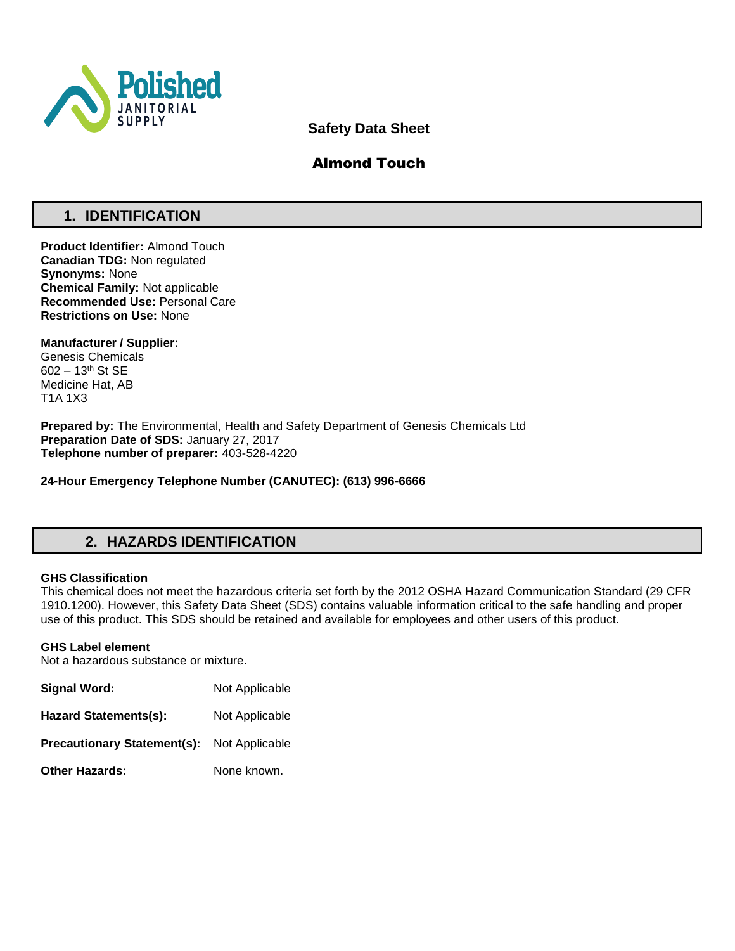

**Safety Data Sheet**

# Almond Touch

# **1. IDENTIFICATION**

**Product Identifier:** Almond Touch **Canadian TDG:** Non regulated **Synonyms:** None **Chemical Family:** Not applicable **Recommended Use:** Personal Care **Restrictions on Use:** None

**Manufacturer / Supplier:** Genesis Chemicals 602 – 13th St SE Medicine Hat, AB T1A 1X3

**Prepared by:** The Environmental, Health and Safety Department of Genesis Chemicals Ltd **Preparation Date of SDS:** January 27, 2017 **Telephone number of preparer:** 403-528-4220

**24-Hour Emergency Telephone Number (CANUTEC): (613) 996-6666**

## **2. HAZARDS IDENTIFICATION**

## **GHS Classification**

This chemical does not meet the hazardous criteria set forth by the 2012 OSHA Hazard Communication Standard (29 CFR 1910.1200). However, this Safety Data Sheet (SDS) contains valuable information critical to the safe handling and proper use of this product. This SDS should be retained and available for employees and other users of this product.

## **GHS Label element**

Not a hazardous substance or mixture.

| Signal Word:                       | Not Applicable |
|------------------------------------|----------------|
| <b>Hazard Statements(s):</b>       | Not Applicable |
| <b>Precautionary Statement(s):</b> | Not Applicable |
| <b>Other Hazards:</b>              | None known.    |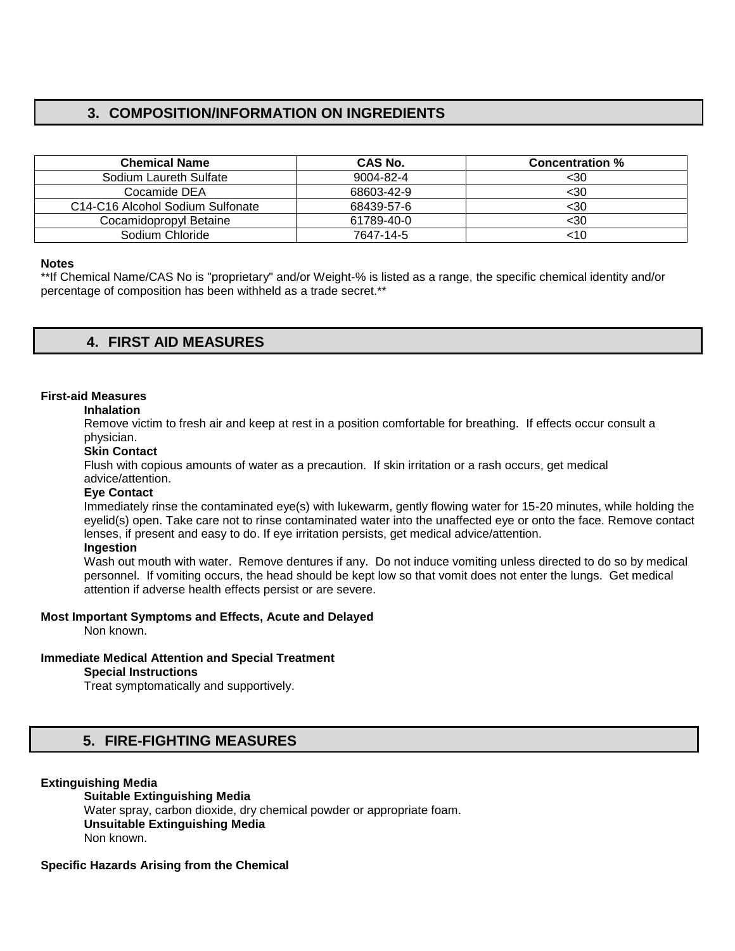# **3. COMPOSITION/INFORMATION ON INGREDIENTS**

| CAS No.    | <b>Concentration %</b> |
|------------|------------------------|
| 9004-82-4  | <30                    |
| 68603-42-9 | $30$                   |
| 68439-57-6 | $30$                   |
| 61789-40-0 | $30$                   |
| 7647-14-5  | <10                    |
|            |                        |

## **Notes**

\*\*If Chemical Name/CAS No is "proprietary" and/or Weight-% is listed as a range, the specific chemical identity and/or percentage of composition has been withheld as a trade secret.\*\*

## **4. FIRST AID MEASURES**

## **First-aid Measures**

#### **Inhalation**

Remove victim to fresh air and keep at rest in a position comfortable for breathing. If effects occur consult a physician.

#### **Skin Contact**

Flush with copious amounts of water as a precaution. If skin irritation or a rash occurs, get medical advice/attention.

#### **Eye Contact**

Immediately rinse the contaminated eye(s) with lukewarm, gently flowing water for 15-20 minutes, while holding the eyelid(s) open. Take care not to rinse contaminated water into the unaffected eye or onto the face. Remove contact lenses, if present and easy to do. If eye irritation persists, get medical advice/attention.

## **Ingestion**

Wash out mouth with water. Remove dentures if any. Do not induce vomiting unless directed to do so by medical personnel. If vomiting occurs, the head should be kept low so that vomit does not enter the lungs. Get medical attention if adverse health effects persist or are severe.

## **Most Important Symptoms and Effects, Acute and Delayed**

Non known.

## **Immediate Medical Attention and Special Treatment**

#### **Special Instructions**

Treat symptomatically and supportively.

## **5. FIRE-FIGHTING MEASURES**

## **Extinguishing Media**

**Suitable Extinguishing Media** Water spray, carbon dioxide, dry chemical powder or appropriate foam. **Unsuitable Extinguishing Media**  Non known.

## **Specific Hazards Arising from the Chemical**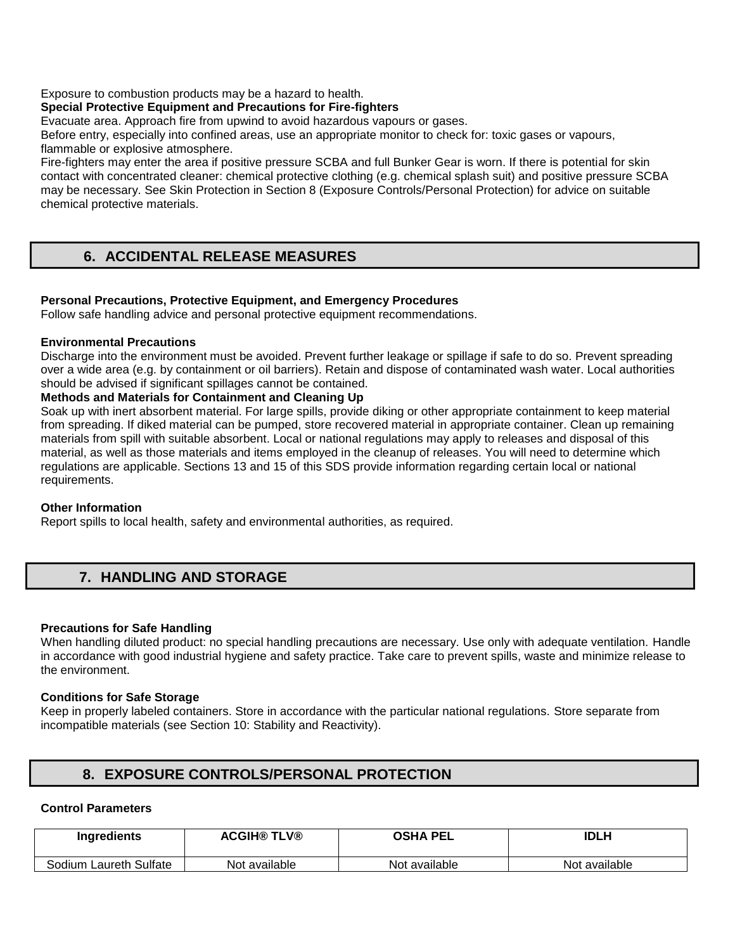Exposure to combustion products may be a hazard to health.

## **Special Protective Equipment and Precautions for Fire-fighters**

Evacuate area. Approach fire from upwind to avoid hazardous vapours or gases.

Before entry, especially into confined areas, use an appropriate monitor to check for: toxic gases or vapours, flammable or explosive atmosphere.

Fire-fighters may enter the area if positive pressure SCBA and full Bunker Gear is worn. If there is potential for skin contact with concentrated cleaner: chemical protective clothing (e.g. chemical splash suit) and positive pressure SCBA may be necessary. See Skin Protection in Section 8 (Exposure Controls/Personal Protection) for advice on suitable chemical protective materials.

# **6. ACCIDENTAL RELEASE MEASURES**

## **Personal Precautions, Protective Equipment, and Emergency Procedures**

Follow safe handling advice and personal protective equipment recommendations.

## **Environmental Precautions**

Discharge into the environment must be avoided. Prevent further leakage or spillage if safe to do so. Prevent spreading over a wide area (e.g. by containment or oil barriers). Retain and dispose of contaminated wash water. Local authorities should be advised if significant spillages cannot be contained.

## **Methods and Materials for Containment and Cleaning Up**

Soak up with inert absorbent material. For large spills, provide diking or other appropriate containment to keep material from spreading. If diked material can be pumped, store recovered material in appropriate container. Clean up remaining materials from spill with suitable absorbent. Local or national regulations may apply to releases and disposal of this material, as well as those materials and items employed in the cleanup of releases. You will need to determine which regulations are applicable. Sections 13 and 15 of this SDS provide information regarding certain local or national requirements.

## **Other Information**

Report spills to local health, safety and environmental authorities, as required.

## **7. HANDLING AND STORAGE**

## **Precautions for Safe Handling**

When handling diluted product: no special handling precautions are necessary. Use only with adequate ventilation. Handle in accordance with good industrial hygiene and safety practice. Take care to prevent spills, waste and minimize release to the environment.

## **Conditions for Safe Storage**

Keep in properly labeled containers. Store in accordance with the particular national regulations. Store separate from incompatible materials (see Section 10: Stability and Reactivity).

## **8. EXPOSURE CONTROLS/PERSONAL PROTECTION**

## **Control Parameters**

| Ingredients            | <b>ACGIH® TLV®</b> | <b>OSHA PEL</b> | IDLH          |
|------------------------|--------------------|-----------------|---------------|
| Sodium Laureth Sulfate | Not available      | Not available   | Not available |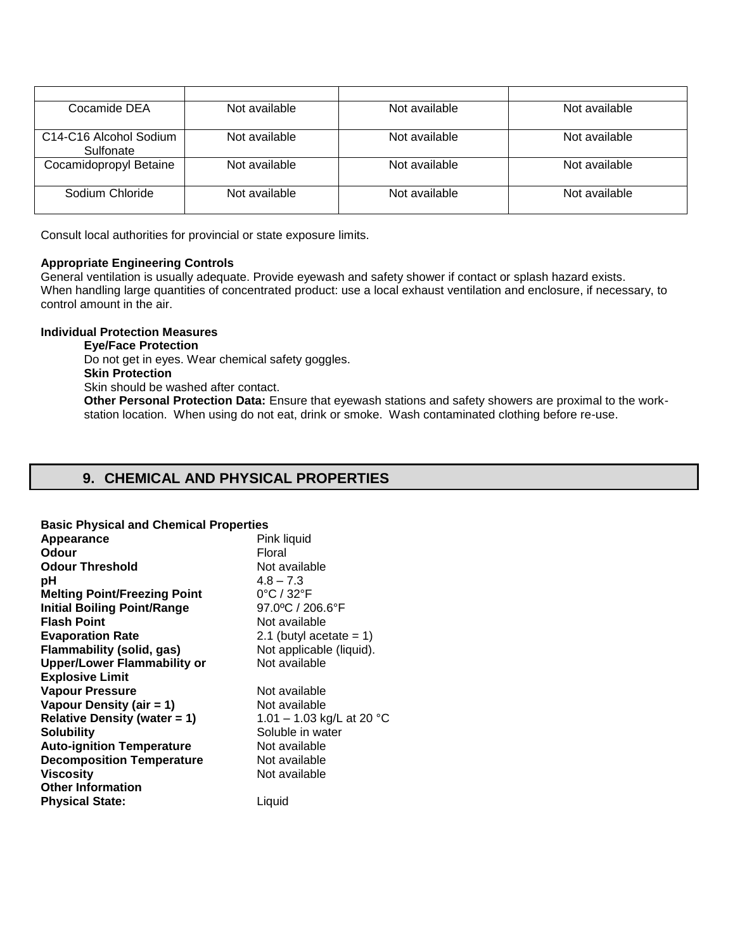| Cocamide DEA                                                 | Not available | Not available | Not available |
|--------------------------------------------------------------|---------------|---------------|---------------|
| C <sub>14</sub> -C <sub>16</sub> Alcohol Sodium<br>Sulfonate | Not available | Not available | Not available |
| Cocamidopropyl Betaine                                       | Not available | Not available | Not available |
| Sodium Chloride                                              | Not available | Not available | Not available |

Consult local authorities for provincial or state exposure limits.

## **Appropriate Engineering Controls**

General ventilation is usually adequate. Provide eyewash and safety shower if contact or splash hazard exists. When handling large quantities of concentrated product: use a local exhaust ventilation and enclosure, if necessary, to control amount in the air.

## **Individual Protection Measures**

**Eye/Face Protection**  Do not get in eyes. Wear chemical safety goggles. **Skin Protection**  Skin should be washed after contact. **Other Personal Protection Data:** Ensure that eyewash stations and safety showers are proximal to the workstation location. When using do not eat, drink or smoke. Wash contaminated clothing before re-use.

# **9. CHEMICAL AND PHYSICAL PROPERTIES**

| <b>Basic Physical and Chemical Properties</b> |                                 |
|-----------------------------------------------|---------------------------------|
| Appearance                                    | Pink liquid                     |
| Odour                                         | Floral                          |
| <b>Odour Threshold</b>                        | Not available                   |
| рH                                            | $4.8 - 7.3$                     |
| <b>Melting Point/Freezing Point</b>           | $0^{\circ}$ C / 32 $^{\circ}$ F |
| <b>Initial Boiling Point/Range</b>            | 97.0°C / 206.6°F                |
| <b>Flash Point</b>                            | Not available                   |
| <b>Evaporation Rate</b>                       | 2.1 (butyl acetate $= 1$ )      |
| <b>Flammability (solid, gas)</b>              | Not applicable (liquid).        |
| <b>Upper/Lower Flammability or</b>            | Not available                   |
| <b>Explosive Limit</b>                        |                                 |
| <b>Vapour Pressure</b>                        | Not available                   |
| Vapour Density (air = 1)                      | Not available                   |
| <b>Relative Density (water = 1)</b>           | 1.01 – 1.03 kg/L at 20 °C       |
| <b>Solubility</b>                             | Soluble in water                |
| <b>Auto-ignition Temperature</b>              | Not available                   |
| <b>Decomposition Temperature</b>              | Not available                   |
| <b>Viscosity</b>                              | Not available                   |
| <b>Other Information</b>                      |                                 |
| <b>Physical State:</b>                        | Liquid                          |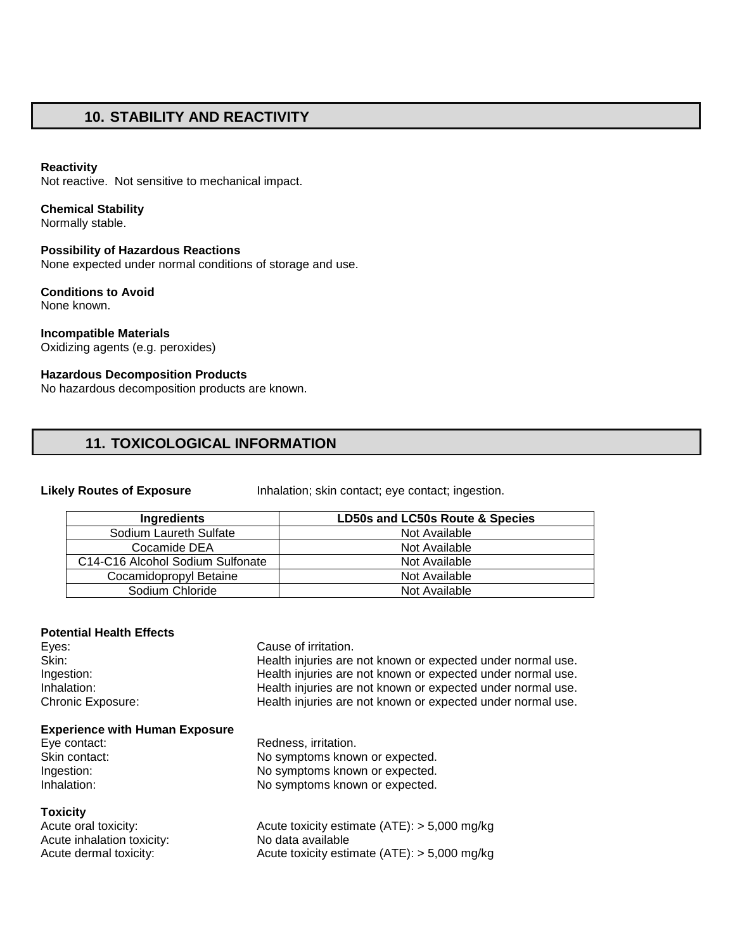## **10. STABILITY AND REACTIVITY**

#### **Reactivity**

Not reactive. Not sensitive to mechanical impact.

#### **Chemical Stability**

Normally stable.

## **Possibility of Hazardous Reactions**

None expected under normal conditions of storage and use.

#### **Conditions to Avoid**  None known.

#### **Incompatible Materials**  Oxidizing agents (e.g. peroxides)

## **Hazardous Decomposition Products**

No hazardous decomposition products are known.

# **11. TOXICOLOGICAL INFORMATION**

Likely Routes of Exposure **Inhalation; skin contact**; eye contact; ingestion.

| Ingredients                      | LD50s and LC50s Route & Species |
|----------------------------------|---------------------------------|
| Sodium Laureth Sulfate           | Not Available                   |
| Cocamide DEA                     | Not Available                   |
| C14-C16 Alcohol Sodium Sulfonate | Not Available                   |
| Cocamidopropyl Betaine           | Not Available                   |
| Sodium Chloride                  | Not Available                   |

## **Potential Health Effects**

| Eyes:                                 | Cause of irritation.                                        |
|---------------------------------------|-------------------------------------------------------------|
| Skin:                                 | Health injuries are not known or expected under normal use. |
| Ingestion:                            | Health injuries are not known or expected under normal use. |
| Inhalation:                           | Health injuries are not known or expected under normal use. |
| <b>Chronic Exposure:</b>              | Health injuries are not known or expected under normal use. |
| <b>Experience with Human Exposure</b> |                                                             |
| Eye contact:                          | Redness, irritation.                                        |
| Skin contact:                         | No symptoms known or expected.                              |
| Ingestion:                            | No symptoms known or expected.                              |
| Inhalation:                           | No symptoms known or expected.                              |
| <b>Toxicity</b>                       |                                                             |
| Acute oral toxicity:                  | Acute toxicity estimate $(ATE)$ : > 5,000 mg/kg             |
| Acute inhalation toxicity:            | No data available                                           |
| Acute dermal toxicity:                | Acute toxicity estimate $(ATE)$ : > 5,000 mg/kg             |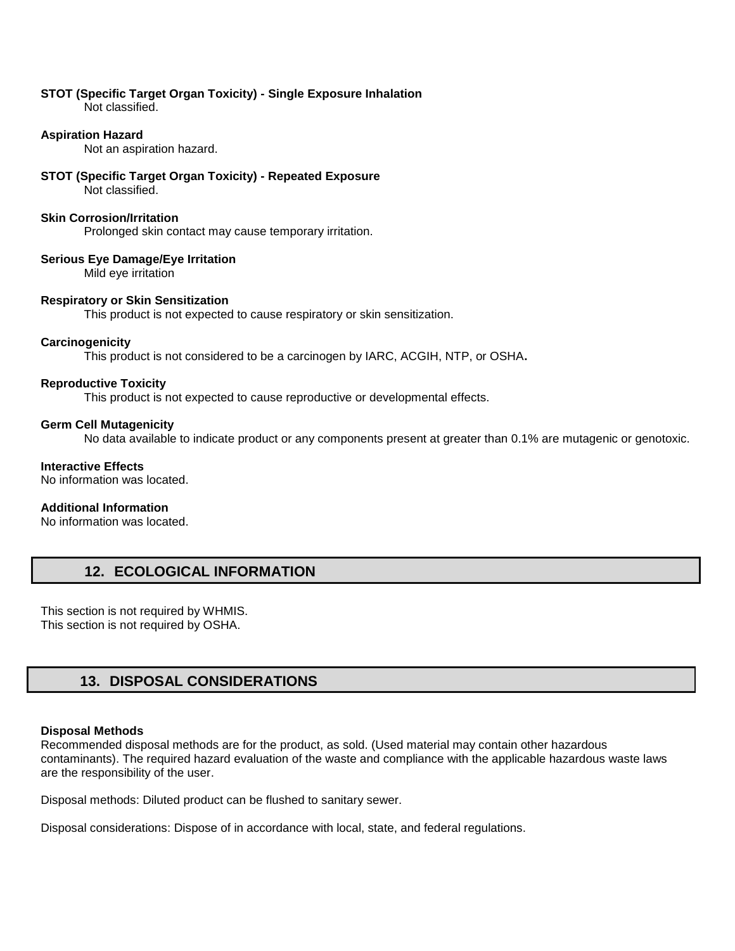#### **STOT (Specific Target Organ Toxicity) - Single Exposure Inhalation**  Not classified.

## **Aspiration Hazard**

Not an aspiration hazard.

## **STOT (Specific Target Organ Toxicity) - Repeated Exposure**

Not classified.

## **Skin Corrosion/Irritation**

Prolonged skin contact may cause temporary irritation.

## **Serious Eye Damage/Eye Irritation**

Mild eye irritation

## **Respiratory or Skin Sensitization**

This product is not expected to cause respiratory or skin sensitization.

## **Carcinogenicity**

This product is not considered to be a carcinogen by IARC, ACGIH, NTP, or OSHA**.** 

## **Reproductive Toxicity**

This product is not expected to cause reproductive or developmental effects.

## **Germ Cell Mutagenicity**

No data available to indicate product or any components present at greater than 0.1% are mutagenic or genotoxic.

## **Interactive Effects**

No information was located.

## **Additional Information**

No information was located.

## **12. ECOLOGICAL INFORMATION**

This section is not required by WHMIS. This section is not required by OSHA.

## **13. DISPOSAL CONSIDERATIONS**

## **Disposal Methods**

Recommended disposal methods are for the product, as sold. (Used material may contain other hazardous contaminants). The required hazard evaluation of the waste and compliance with the applicable hazardous waste laws are the responsibility of the user.

Disposal methods: Diluted product can be flushed to sanitary sewer.

Disposal considerations: Dispose of in accordance with local, state, and federal regulations.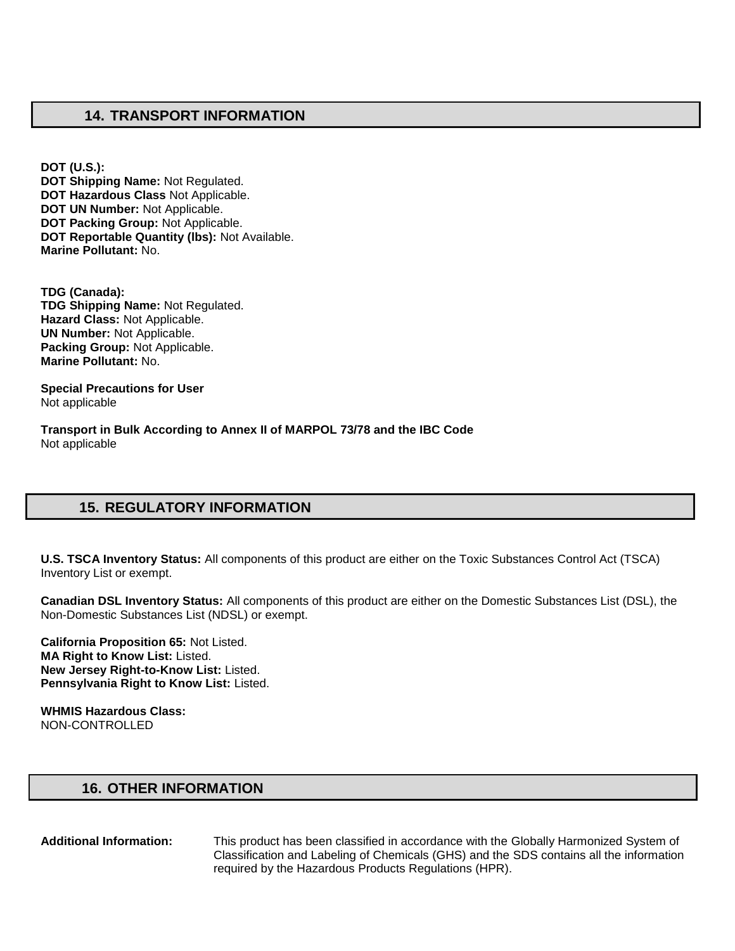## **14. TRANSPORT INFORMATION**

**DOT (U.S.): DOT Shipping Name:** Not Regulated. **DOT Hazardous Class** Not Applicable. **DOT UN Number:** Not Applicable. **DOT Packing Group:** Not Applicable. **DOT Reportable Quantity (lbs):** Not Available. **Marine Pollutant:** No.

**TDG (Canada): TDG Shipping Name:** Not Regulated. **Hazard Class:** Not Applicable. **UN Number:** Not Applicable. **Packing Group:** Not Applicable. **Marine Pollutant:** No.

**Special Precautions for User** Not applicable

**Transport in Bulk According to Annex II of MARPOL 73/78 and the IBC Code**  Not applicable

## **15. REGULATORY INFORMATION**

**U.S. TSCA Inventory Status:** All components of this product are either on the Toxic Substances Control Act (TSCA) Inventory List or exempt.

**Canadian DSL Inventory Status:** All components of this product are either on the Domestic Substances List (DSL), the Non-Domestic Substances List (NDSL) or exempt.

**California Proposition 65:** Not Listed. **MA Right to Know List:** Listed. **New Jersey Right-to-Know List:** Listed. **Pennsylvania Right to Know List:** Listed.

**WHMIS Hazardous Class:** NON-CONTROLLED

## **16. OTHER INFORMATION**

**Additional Information:** This product has been classified in accordance with the Globally Harmonized System of Classification and Labeling of Chemicals (GHS) and the SDS contains all the information required by the Hazardous Products Regulations (HPR).